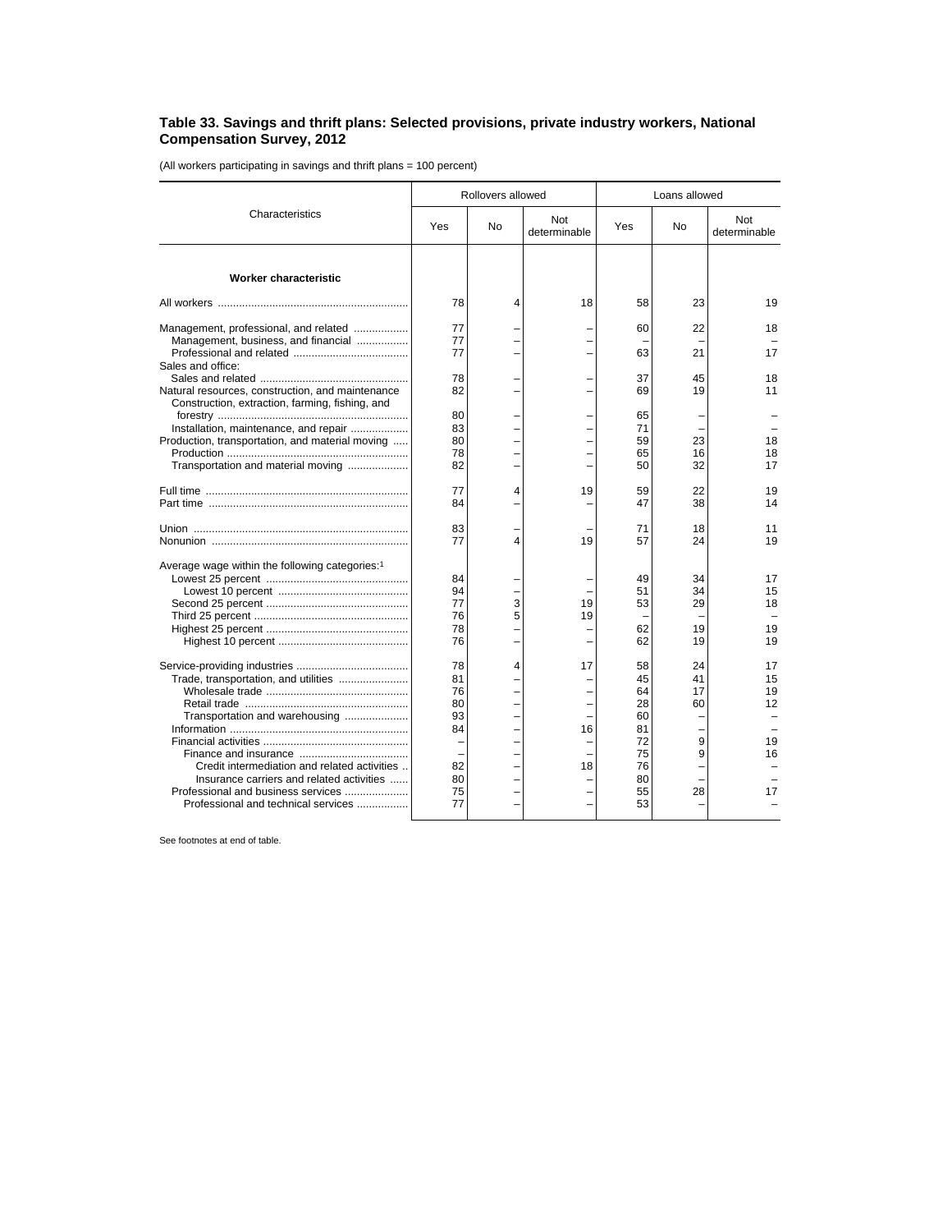## **Table 33. Savings and thrift plans: Selected provisions, private industry workers, National Compensation Survey, 2012**

(All workers participating in savings and thrift plans = 100 percent)

| Characteristics                                                                                                                                                                                                                                  | Rollovers allowed                                        |                                                      |                     | Loans allowed                                                        |                                      |                                        |
|--------------------------------------------------------------------------------------------------------------------------------------------------------------------------------------------------------------------------------------------------|----------------------------------------------------------|------------------------------------------------------|---------------------|----------------------------------------------------------------------|--------------------------------------|----------------------------------------|
|                                                                                                                                                                                                                                                  | Yes                                                      | No                                                   | Not<br>determinable | Yes                                                                  | No                                   | Not<br>determinable                    |
| Worker characteristic                                                                                                                                                                                                                            |                                                          |                                                      |                     |                                                                      |                                      |                                        |
|                                                                                                                                                                                                                                                  | 78                                                       | 4                                                    | 18                  | 58                                                                   | 23                                   | 19                                     |
| Management, professional, and related<br>Management, business, and financial                                                                                                                                                                     | 77<br>77<br>77                                           |                                                      |                     | 60<br>63                                                             | 22<br>21                             | 18<br>17                               |
| Sales and office:<br>Natural resources, construction, and maintenance<br>Construction, extraction, farming, fishing, and                                                                                                                         | 78<br>82                                                 |                                                      |                     | 37<br>69                                                             | 45<br>19                             | 18<br>11                               |
| Installation, maintenance, and repair<br>Production, transportation, and material moving<br>Transportation and material moving                                                                                                                   | 80<br>83<br>80<br>78<br>82                               | $\overline{\phantom{0}}$                             |                     | 65<br>71<br>59<br>65<br>50                                           | 23<br>16<br>32                       | 18<br>18<br>17                         |
|                                                                                                                                                                                                                                                  | 77<br>84                                                 | 4                                                    | 19                  | 59<br>47                                                             | 22<br>38                             | 19<br>14                               |
|                                                                                                                                                                                                                                                  | 83<br>77                                                 | 4                                                    | 19                  | 71<br>57                                                             | 18<br>24                             | 11<br>19                               |
| Average wage within the following categories: <sup>1</sup>                                                                                                                                                                                       | 84<br>94<br>77<br>76<br>78<br>76                         | 3<br>5<br>-<br>-                                     | 19<br>19            | 49<br>51<br>53<br>62<br>62                                           | 34<br>34<br>29<br>19<br>19           | 17<br>15<br>18<br>19<br>19             |
| Trade, transportation, and utilities<br>Transportation and warehousing<br>Credit intermediation and related activities<br>Insurance carriers and related activities<br>Professional and business services<br>Professional and technical services | 78<br>81<br>76<br>80<br>93<br>84<br>82<br>80<br>75<br>77 | 4<br>L<br>$\overline{\phantom{0}}$<br>$\overline{a}$ | 17<br>16<br>18      | 58<br>45<br>64<br>28<br>60<br>81<br>72<br>75<br>76<br>80<br>55<br>53 | 24<br>41<br>17<br>60<br>9<br>9<br>28 | 17<br>15<br>19<br>12<br>19<br>16<br>17 |

See footnotes at end of table.